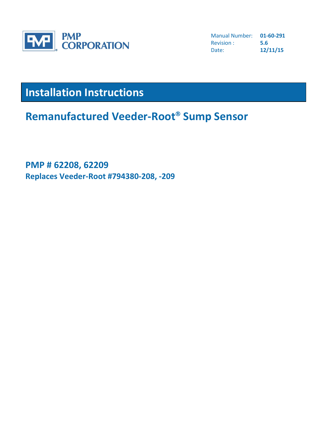

Manual Number: **01-60-291** Revision : **5.6** Date: **12/11/15**

# **Installation Instructions**

**Remanufactured Veeder-Root Sump Sensor**

## **PMP # 62208, 62209 Replaces Veeder-Root #794380-208, -209**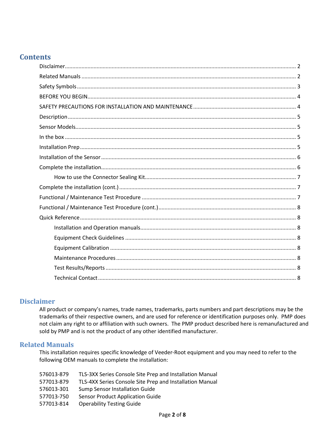## **Contents**

#### <span id="page-1-0"></span>**Disclaimer**

All product or company's names, trade names, trademarks, parts numbers and part descriptions may be the trademarks of their respective owners, and are used for reference or identification purposes only. PMP does not claim any right to or affiliation with such owners. The PMP product described here is remanufactured and sold by PMP and is not the product of any other identified manufacturer.

#### <span id="page-1-1"></span>**Related Manuals**

This installation requires specific knowledge of Veeder-Root equipment and you may need to refer to the following OEM manuals to complete the installation:

| 576013-879 | TLS-3XX Series Console Site Prep and Installation Manual |
|------------|----------------------------------------------------------|
| 577013-879 | TLS-4XX Series Console Site Prep and Installation Manual |
| 576013-301 | Sump Sensor Installation Guide                           |
| 577013-750 | Sensor Product Application Guide                         |
| 577013-814 | <b>Operability Testing Guide</b>                         |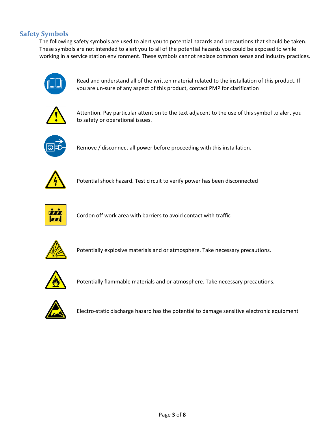## <span id="page-2-0"></span>**Safety Symbols**

The following safety symbols are used to alert you to potential hazards and precautions that should be taken. These symbols are not intended to alert you to all of the potential hazards you could be exposed to while working in a service station environment. These symbols cannot replace common sense and industry practices.



Read and understand all of the written material related to the installation of this product. If you are un-sure of any aspect of this product, contact PMP for clarification



Attention. Pay particular attention to the text adjacent to the use of this symbol to alert you to safety or operational issues.



Remove / disconnect all power before proceeding with this installation.



Potential shock hazard. Test circuit to verify power has been disconnected



Cordon off work area with barriers to avoid contact with traffic



Potentially explosive materials and or atmosphere. Take necessary precautions.



Potentially flammable materials and or atmosphere. Take necessary precautions.



Electro-static discharge hazard has the potential to damage sensitive electronic equipment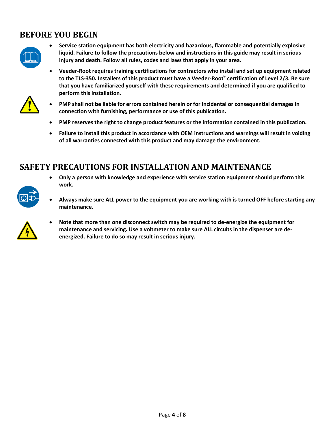## <span id="page-3-0"></span>**BEFORE YOU BEGIN**



- **Service station equipment has both electricity and hazardous, flammable and potentially explosive liquid. Failure to follow the precautions below and instructions in this guide may result in serious injury and death. Follow all rules, codes and laws that apply in your area.**
- **Veeder-Root requires training certifications for contractors who install and set up equipment related**  to the TLS-350. Installers of this product must have a Veeder-Root<sup>®</sup> certification of Level 2/3. Be sure **that you have familiarized yourself with these requirements and determined if you are qualified to perform this installation.**



- **PMP shall not be liable for errors contained herein or for incidental or consequential damages in connection with furnishing, performance or use of this publication.**
- **PMP reserves the right to change product features or the information contained in this publication.**
- **Failure to install this product in accordance with OEM instructions and warnings will result in voiding of all warranties connected with this product and may damage the environment.**

## <span id="page-3-1"></span>**SAFETY PRECAUTIONS FOR INSTALLATION AND MAINTENANCE**

- **Only a person with knowledge and experience with service station equipment should perform this work.**
- **Always make sure ALL power to the equipment you are working with is turned OFF before starting any maintenance.**



 **Note that more than one disconnect switch may be required to de-energize the equipment for maintenance and servicing. Use a voltmeter to make sure ALL circuits in the dispenser are deenergized. Failure to do so may result in serious injury.**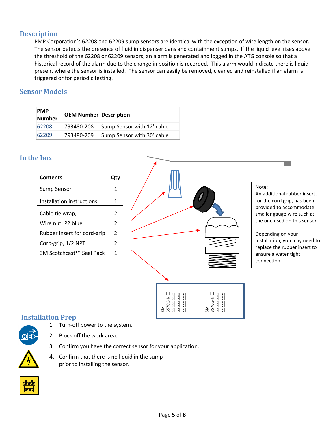## <span id="page-4-0"></span>**Description**

PMP Corporation's 62208 and 62209 sump sensors are identical with the exception of wire length on the sensor. The sensor detects the presence of fluid in dispenser pans and containment sumps. If the liquid level rises above the threshold of the 62208 or 62209 sensors, an alarm is generated and logged in the ATG console so that a historical record of the alarm due to the change in position is recorded. This alarm would indicate there is liquid present where the sensor is installed. The sensor can easily be removed, cleaned and reinstalled if an alarm is triggered or for periodic testing.

#### <span id="page-4-1"></span>**Sensor Models**

| <b>PMP</b><br><b>Number</b> | <b>OEM Number Description</b> |                            |
|-----------------------------|-------------------------------|----------------------------|
| 62208                       | 793480-208                    | Sump Sensor with 12' cable |
| 62209                       | 793480-209                    | Sump Sensor with 30' cable |

#### <span id="page-4-2"></span>**In the box**

| <b>Contents</b>             |                |
|-----------------------------|----------------|
| Sump Sensor                 | 1              |
| Installation instructions   | 1              |
| Cable tie wrap,             | 2              |
| Wire nut, P2 blue           | $\overline{2}$ |
| Rubber insert for cord-grip | 2              |
| Cord-grip, 1/2 NPT          | 2              |
| 3M Scotchcast™ Seal Pack    |                |



#### Note:

An additional rubber insert, for the cord grip, has been provided to accommodate smaller gauge wire such as the one used on this sensor.

Depending on your installation, you may need to replace the rubber insert to ensure a water tight connection.

## <span id="page-4-3"></span>**Installation Prep**



- 1. Turn-off power to the system.
- 2. Block off the work area.
- 3. Confirm you have the correct sensor for your application.
- 4. Confirm that there is no liquid in the sump prior to installing the sensor.

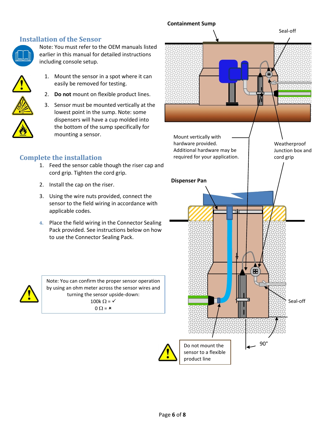#### <span id="page-5-0"></span>**Installation of the Sensor**



Note: You must refer to the OEM manuals listed earlier in this manual for detailed instructions including console setup.

- 
- 1. Mount the sensor in a spot where it can easily be removed for testing.
- 2. **Do not** mount on flexible product lines.
- 3. Sensor must be mounted vertically at the lowest point in the sump. Note: some dispensers will have a cup molded into the bottom of the sump specifically for mounting a sensor.

## <span id="page-5-1"></span>**Complete the installation**

- 1. Feed the sensor cable though the riser cap and cord grip. Tighten the cord grip.
- 2. Install the cap on the riser.
- 3. Using the wire nuts provided, connect the sensor to the field wiring in accordance with applicable codes.
- **4.** Place the field wiring in the Connector Sealing Pack provided. See instructions below on how to use the Connector Sealing Pack.



Note: You can confirm the proper sensor operation by using an ohm meter across the sensor wires and turning the sensor upside-down: 100k  $\Omega$  =  $\checkmark$  $0 \Omega = \mathbf{x}$ 

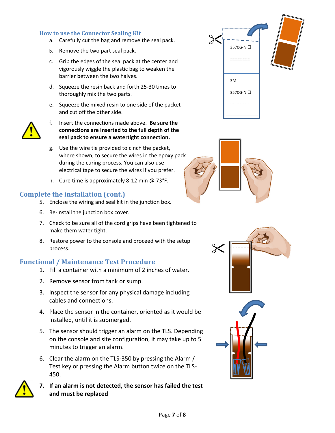#### <span id="page-6-0"></span>**How to use the Connector Sealing Kit**

- a. Carefully cut the bag and remove the seal pack.
- b. Remove the two part seal pack.
- c. Grip the edges of the seal pack at the center and vigorously wiggle the plastic bag to weaken the barrier between the two halves.
- d. Squeeze the resin back and forth 25-30 times to thoroughly mix the two parts.
- e. Squeeze the mixed resin to one side of the packet and cut off the other side.



- f. Insert the connections made above. **Be sure the connections are inserted to the full depth of the seal pack to ensure a watertight connection.**
- g. Use the wire tie provided to cinch the packet, where shown, to secure the wires in the epoxy pack during the curing process. You can also use electrical tape to secure the wires if you prefer.
- h. Cure time is approximately 8-12 min @ 73°F.

## <span id="page-6-1"></span>**Complete the installation (cont.)**

- 5. Enclose the wiring and seal kit in the junction box.
- 6. Re-install the junction box cover.
- 7. Check to be sure all of the cord grips have been tightened to make them water tight.
- 8. Restore power to the console and proceed with the setup process.

#### <span id="page-6-2"></span>**Functional / Maintenance Test Procedure**

- 1. Fill a container with a minimum of 2 inches of water.
- 2. Remove sensor from tank or sump.
- 3. Inspect the sensor for any physical damage including cables and connections.
- 4. Place the sensor in the container, oriented as it would be installed, until it is submerged.
- 5. The sensor should trigger an alarm on the TLS. Depending on the console and site configuration, it may take up to 5 minutes to trigger an alarm.
- 6. Clear the alarm on the TLS-350 by pressing the Alarm / Test key or pressing the Alarm button twice on the TLS-450.



**7. If an alarm is not detected, the sensor has failed the test and must be replaced**